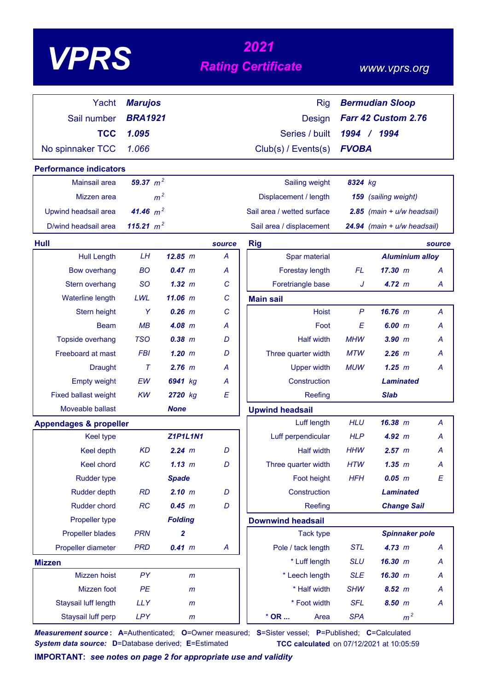# *<sup>2021</sup> VPRS Rating Certificate*

### *www.vprs.org*

| Yacht                             | <b>Marujos</b> |                 |        | <b>Rig</b>                 |              | <b>Bermudian Sloop</b>         |        |
|-----------------------------------|----------------|-----------------|--------|----------------------------|--------------|--------------------------------|--------|
| Sail number                       | <b>BRA1921</b> |                 |        | <b>Design</b>              |              | Farr 42 Custom 2.76            |        |
| <b>TCC</b>                        | 1.095          |                 |        | Series / built             |              | 1994 / 1994                    |        |
| No spinnaker TCC                  | 1.066          |                 |        | Club(s) / Events(s)        | <b>FVOBA</b> |                                |        |
|                                   |                |                 |        |                            |              |                                |        |
| <b>Performance indicators</b>     | 59.37 $m^2$    |                 |        |                            |              |                                |        |
| <b>Mainsail area</b>              |                |                 |        | Sailing weight             | 8324 kg      |                                |        |
| Mizzen area                       |                | m <sup>2</sup>  |        | Displacement / length      |              | 159 (sailing weight)           |        |
| Upwind headsail area              | 41.46 $m^2$    |                 |        | Sail area / wetted surface |              | $2.85$ (main + $u/w$ headsail) |        |
| D/wind headsail area              | 115.21 $m^2$   |                 |        | Sail area / displacement   |              | 24.94 (main + u/w headsail)    |        |
| <b>Hull</b>                       |                |                 | source | <b>Rig</b>                 |              |                                | source |
| <b>Hull Length</b>                | LH             | 12.85 m         | A      | Spar material              |              | <b>Aluminium alloy</b>         |        |
| <b>Bow overhang</b>               | <b>BO</b>      | 0.47~m          | A      | Forestay length            | <b>FL</b>    | 17.30 m                        | A      |
| Stern overhang                    | <b>SO</b>      | 1.32~m          | C      | Foretriangle base          | J            | 4.72 m                         | A      |
| Waterline length                  | LWL            | $11.06$ m       | C      | <b>Main sail</b>           |              |                                |        |
| Stern height                      | Y              | $0.26$ $m$      | С      | <b>Hoist</b>               | $\mathsf{P}$ | $16.76$ m                      | A      |
| Beam                              | MB             | $4.08$ m        | A      | Foot                       | E            | 6.00 m                         | Α      |
| Topside overhang                  | <b>TSO</b>     | $0.38$ $m$      | D      | <b>Half width</b>          | <b>MHW</b>   | $3.90$ $m$                     | А      |
| <b>Freeboard at mast</b>          | <b>FBI</b>     | $1.20$ m        | D      | Three quarter width        | MTW          | $2.26$ $m$                     | А      |
| <b>Draught</b>                    | $\tau$         | $2.76$ m        | A      | <b>Upper width</b>         | <b>MUW</b>   | $1.25$ $m$                     | Α      |
| <b>Empty weight</b>               | EW             | 6941 kg         | A      | Construction               |              | <b>Laminated</b>               |        |
| <b>Fixed ballast weight</b>       | <b>KW</b>      | 2720 kg         | E      | Reefing                    |              | <b>Slab</b>                    |        |
| Moveable ballast                  |                | <b>None</b>     |        | <b>Upwind headsail</b>     |              |                                |        |
| <b>Appendages &amp; propeller</b> |                |                 |        | Luff length                | <b>HLU</b>   | 16.38 m                        | A      |
| <b>Keel type</b>                  |                | <b>Z1P1L1N1</b> |        | Luff perpendicular         | <b>HLP</b>   | 4.92~m                         | А      |
| Keel depth                        | <b>KD</b>      | 2.24 m          | D      | <b>Half width</b>          | HHW          | 2.57~m                         | Α      |
| Keel chord                        | KC             | 1.13 m          | D      | Three quarter width        | <b>HTW</b>   | $1.35$ $m$                     | A      |
| <b>Rudder type</b>                |                | <b>Spade</b>    |        | Foot height                | <b>HFH</b>   | $0.05$ $m$                     | E      |
| <b>Rudder depth</b>               | <b>RD</b>      | 2.10 m          | D      | Construction               |              | <b>Laminated</b>               |        |
| <b>Rudder chord</b>               | RC             | 0.45 m          | D      | Reefing                    |              | <b>Change Sail</b>             |        |
| Propeller type                    |                | <b>Folding</b>  |        | <b>Downwind headsail</b>   |              |                                |        |
| <b>Propeller blades</b>           | <b>PRN</b>     | $\mathbf{2}$    |        | <b>Tack type</b>           |              | <b>Spinnaker pole</b>          |        |
| Propeller diameter                | <b>PRD</b>     | 0.41 m          | A      | Pole / tack length         | <b>STL</b>   | 4.73 m                         | A      |
| <b>Mizzen</b>                     |                |                 |        | * Luff length              | <b>SLU</b>   | 16.30 m                        | A      |
| Mizzen hoist                      | <b>PY</b>      | m               |        | * Leech length             | <b>SLE</b>   | 16.30 m                        | A      |
| Mizzen foot                       | PE             | $\mathsf{m}$    |        | * Half width               | <b>SHW</b>   | $8.52 \, m$                    | A      |
| Staysail luff length              | <b>LLY</b>     | $\mathsf{m}$    |        | * Foot width               | <b>SFL</b>   | 8.50 m                         | A      |
| Staysail luff perp                | <b>LPY</b>     | m               |        | $*$ OR<br>Area             | <b>SPA</b>   | m <sup>2</sup>                 |        |

*Measurement source* **: A**=Authenticated; **O**=Owner measured; **S**=Sister vessel; **P**=Published; **C**=Calculated *System data source:* **D**=Database derived; **E**=Estimated **TCC calculated** on 07/12/2021 at 10:05:59

**IMPORTANT:** *see notes on page 2 for appropriate use and validity*